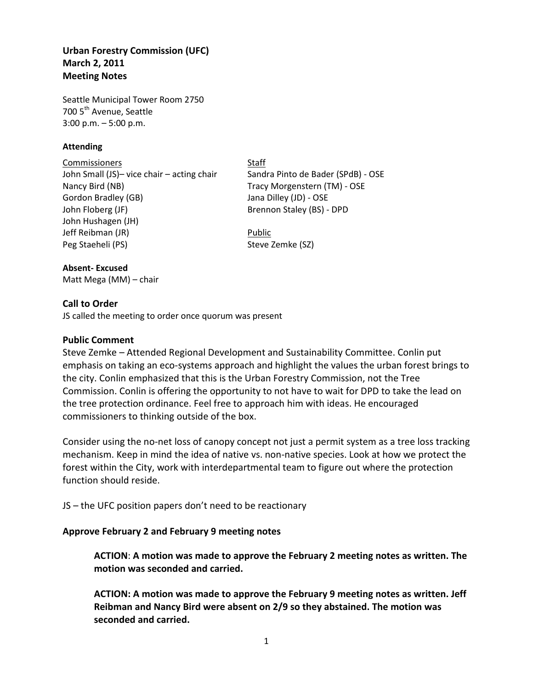## **Urban Forestry Commission (UFC) March 2, 2011 Meeting Notes**

Seattle Municipal Tower Room 2750 700 5<sup>th</sup> Avenue, Seattle 3:00 p.m. – 5:00 p.m.

#### **Attending**

Commissioners Staff John Small (JS)– vice chair – acting chair Sandra Pinto de Bader (SPdB) - OSE Nancy Bird (NB) Tracy Morgenstern (TM) - OSE Gordon Bradley (GB) Jana Dilley (JD) - OSE John Floberg (JF) Brennon Staley (BS) - DPD John Hushagen (JH) Jeff Reibman (JR) and the settlement of the Public Peg Staeheli (PS) Steve Zemke (SZ)

# **Absent- Excused**

Matt Mega (MM) – chair

## **Call to Order**

JS called the meeting to order once quorum was present

## **Public Comment**

Steve Zemke – Attended Regional Development and Sustainability Committee. Conlin put emphasis on taking an eco-systems approach and highlight the values the urban forest brings to the city. Conlin emphasized that this is the Urban Forestry Commission, not the Tree Commission. Conlin is offering the opportunity to not have to wait for DPD to take the lead on the tree protection ordinance. Feel free to approach him with ideas. He encouraged commissioners to thinking outside of the box.

Consider using the no-net loss of canopy concept not just a permit system as a tree loss tracking mechanism. Keep in mind the idea of native vs. non-native species. Look at how we protect the forest within the City, work with interdepartmental team to figure out where the protection function should reside.

JS – the UFC position papers don't need to be reactionary

## **Approve February 2 and February 9 meeting notes**

**ACTION**: **A motion was made to approve the February 2 meeting notes as written. The motion was seconded and carried.**

**ACTION: A motion was made to approve the February 9 meeting notes as written. Jeff Reibman and Nancy Bird were absent on 2/9 so they abstained. The motion was seconded and carried.**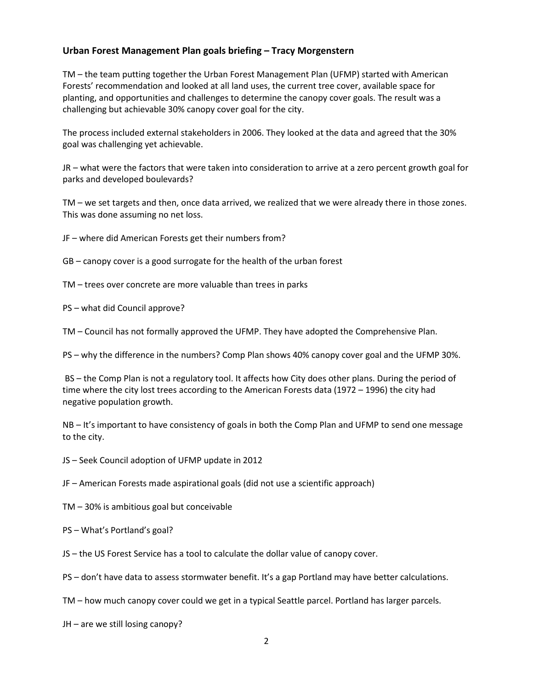## **Urban Forest Management Plan goals briefing – Tracy Morgenstern**

TM – the team putting together the Urban Forest Management Plan (UFMP) started with American Forests' recommendation and looked at all land uses, the current tree cover, available space for planting, and opportunities and challenges to determine the canopy cover goals. The result was a challenging but achievable 30% canopy cover goal for the city.

The process included external stakeholders in 2006. They looked at the data and agreed that the 30% goal was challenging yet achievable.

JR – what were the factors that were taken into consideration to arrive at a zero percent growth goal for parks and developed boulevards?

TM – we set targets and then, once data arrived, we realized that we were already there in those zones. This was done assuming no net loss.

JF – where did American Forests get their numbers from?

GB – canopy cover is a good surrogate for the health of the urban forest

TM – trees over concrete are more valuable than trees in parks

PS – what did Council approve?

TM – Council has not formally approved the UFMP. They have adopted the Comprehensive Plan.

PS – why the difference in the numbers? Comp Plan shows 40% canopy cover goal and the UFMP 30%.

BS – the Comp Plan is not a regulatory tool. It affects how City does other plans. During the period of time where the city lost trees according to the American Forests data (1972 – 1996) the city had negative population growth.

NB – It's important to have consistency of goals in both the Comp Plan and UFMP to send one message to the city.

JS – Seek Council adoption of UFMP update in 2012

JF – American Forests made aspirational goals (did not use a scientific approach)

TM – 30% is ambitious goal but conceivable

PS – What's Portland's goal?

JS – the US Forest Service has a tool to calculate the dollar value of canopy cover.

PS – don't have data to assess stormwater benefit. It's a gap Portland may have better calculations.

TM – how much canopy cover could we get in a typical Seattle parcel. Portland has larger parcels.

JH – are we still losing canopy?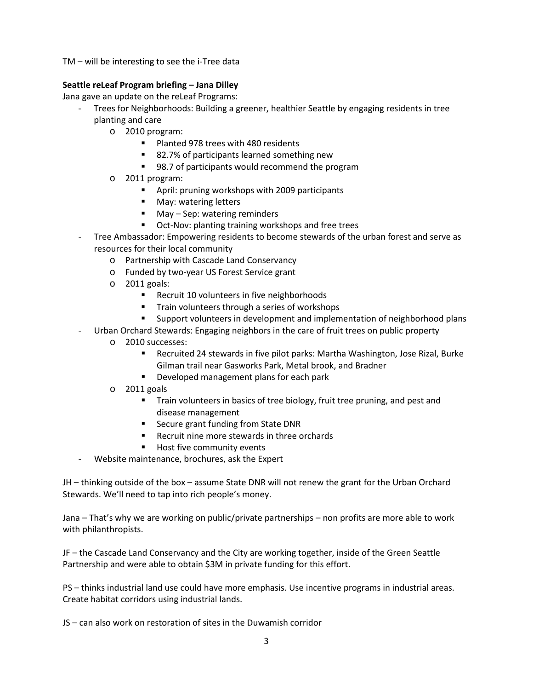TM – will be interesting to see the i-Tree data

#### **Seattle reLeaf Program briefing – Jana Dilley**

Jana gave an update on the reLeaf Programs:

- Trees for Neighborhoods: Building a greener, healthier Seattle by engaging residents in tree planting and care
	- o 2010 program:
		- **Planted 978 trees with 480 residents**
		- 82.7% of participants learned something new
		- 98.7 of participants would recommend the program
	- o 2011 program:
		- April: pruning workshops with 2009 participants
		- **May: watering letters**
		- May Sep: watering reminders
		- **•** Oct-Nov: planting training workshops and free trees
- Tree Ambassador: Empowering residents to become stewards of the urban forest and serve as resources for their local community
	- o Partnership with Cascade Land Conservancy
	- o Funded by two-year US Forest Service grant
	- o 2011 goals:
		- Recruit 10 volunteers in five neighborhoods
		- **Train volunteers through a series of workshops**
		- Support volunteers in development and implementation of neighborhood plans
- Urban Orchard Stewards: Engaging neighbors in the care of fruit trees on public property
	- o 2010 successes:
		- Recruited 24 stewards in five pilot parks: Martha Washington, Jose Rizal, Burke Gilman trail near Gasworks Park, Metal brook, and Bradner
		- **Developed management plans for each park**
	- o 2011 goals
		- **Train volunteers in basics of tree biology, fruit tree pruning, and pest and** disease management
		- Secure grant funding from State DNR
		- **Recruit nine more stewards in three orchards**
		- Host five community events
	- Website maintenance, brochures, ask the Expert

JH – thinking outside of the box – assume State DNR will not renew the grant for the Urban Orchard Stewards. We'll need to tap into rich people's money.

Jana – That's why we are working on public/private partnerships – non profits are more able to work with philanthropists.

JF – the Cascade Land Conservancy and the City are working together, inside of the Green Seattle Partnership and were able to obtain \$3M in private funding for this effort.

PS – thinks industrial land use could have more emphasis. Use incentive programs in industrial areas. Create habitat corridors using industrial lands.

JS – can also work on restoration of sites in the Duwamish corridor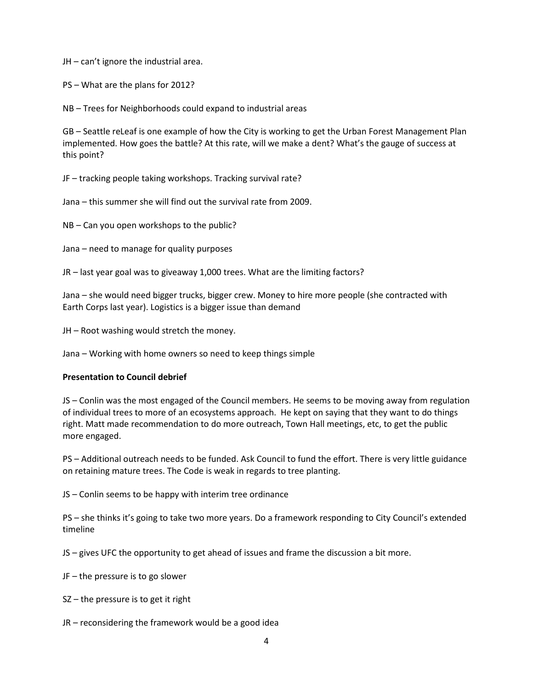JH – can't ignore the industrial area.

PS – What are the plans for 2012?

NB – Trees for Neighborhoods could expand to industrial areas

GB – Seattle reLeaf is one example of how the City is working to get the Urban Forest Management Plan implemented. How goes the battle? At this rate, will we make a dent? What's the gauge of success at this point?

JF – tracking people taking workshops. Tracking survival rate?

Jana – this summer she will find out the survival rate from 2009.

NB – Can you open workshops to the public?

Jana – need to manage for quality purposes

JR – last year goal was to giveaway 1,000 trees. What are the limiting factors?

Jana – she would need bigger trucks, bigger crew. Money to hire more people (she contracted with Earth Corps last year). Logistics is a bigger issue than demand

JH – Root washing would stretch the money.

Jana – Working with home owners so need to keep things simple

#### **Presentation to Council debrief**

JS – Conlin was the most engaged of the Council members. He seems to be moving away from regulation of individual trees to more of an ecosystems approach. He kept on saying that they want to do things right. Matt made recommendation to do more outreach, Town Hall meetings, etc, to get the public more engaged.

PS – Additional outreach needs to be funded. Ask Council to fund the effort. There is very little guidance on retaining mature trees. The Code is weak in regards to tree planting.

JS – Conlin seems to be happy with interim tree ordinance

PS – she thinks it's going to take two more years. Do a framework responding to City Council's extended timeline

JS – gives UFC the opportunity to get ahead of issues and frame the discussion a bit more.

JF – the pressure is to go slower

SZ – the pressure is to get it right

JR – reconsidering the framework would be a good idea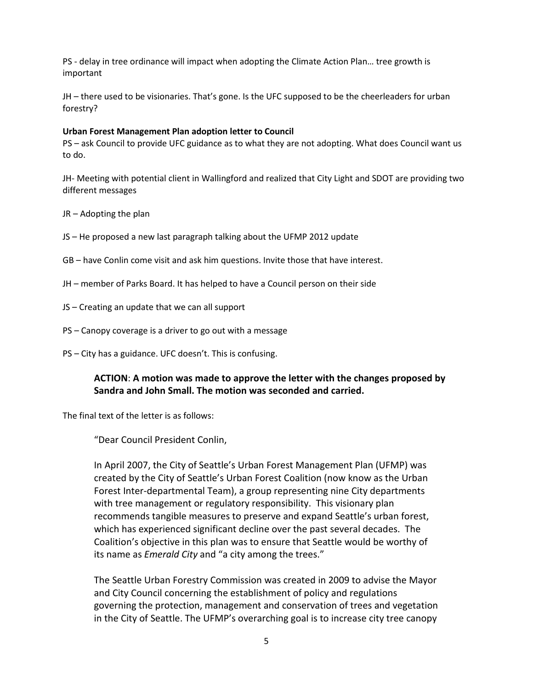PS - delay in tree ordinance will impact when adopting the Climate Action Plan… tree growth is important

JH – there used to be visionaries. That's gone. Is the UFC supposed to be the cheerleaders for urban forestry?

#### **Urban Forest Management Plan adoption letter to Council**

PS – ask Council to provide UFC guidance as to what they are not adopting. What does Council want us to do.

JH- Meeting with potential client in Wallingford and realized that City Light and SDOT are providing two different messages

- JR Adopting the plan
- JS He proposed a new last paragraph talking about the UFMP 2012 update
- GB have Conlin come visit and ask him questions. Invite those that have interest.
- JH member of Parks Board. It has helped to have a Council person on their side
- JS Creating an update that we can all support
- PS Canopy coverage is a driver to go out with a message
- PS City has a guidance. UFC doesn't. This is confusing.

## **ACTION**: **A motion was made to approve the letter with the changes proposed by Sandra and John Small. The motion was seconded and carried.**

The final text of the letter is as follows:

"Dear Council President Conlin,

In April 2007, the City of Seattle's Urban Forest Management Plan (UFMP) was created by the City of Seattle's Urban Forest Coalition (now know as the Urban Forest Inter-departmental Team), a group representing nine City departments with tree management or regulatory responsibility. This visionary plan recommends tangible measures to preserve and expand Seattle's urban forest, which has experienced significant decline over the past several decades. The Coalition's objective in this plan was to ensure that Seattle would be worthy of its name as *Emerald City* and "a city among the trees."

The Seattle Urban Forestry Commission was created in 2009 to advise the Mayor and City Council concerning the establishment of policy and regulations governing the protection, management and conservation of trees and vegetation in the City of Seattle. The UFMP's overarching goal is to increase city tree canopy